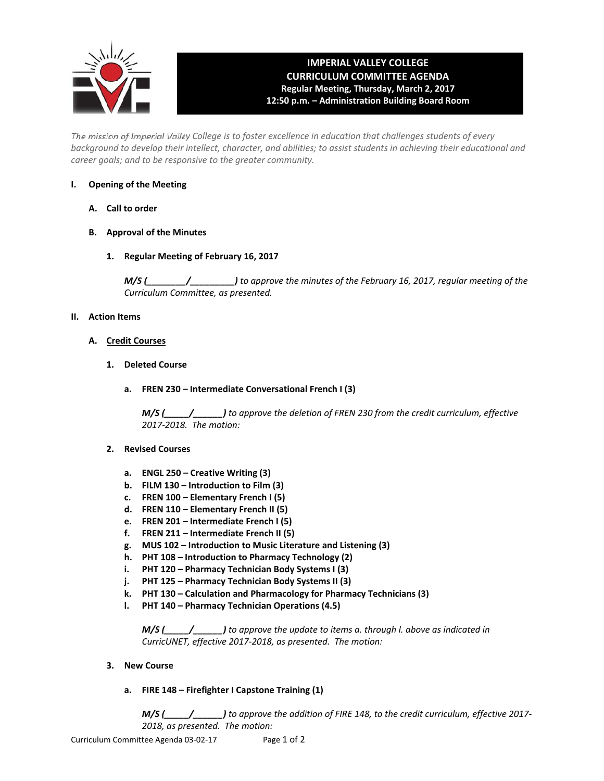

# **IMPERIAL VALLEY COLLEGE CURRICULUM COMMITTEE AGENDA Regular Meeting, Thursday, March 2, 2017 12:50 p.m. – Administration Building Board Room**

The mission of Imperial Valley College is to foster excellence in education that challenges students of every background to develop their intellect, character, and abilities; to assist students in achieving their educational and *career goals; and to be responsive to the greater community.*

## **I. Opening of the Meeting**

- **A. Call to order**
- **B. Approval of the Minutes**
	- **1. Regular Meeting of February 16, 2017**

*M/S (\_\_\_\_\_\_\_\_/\_\_\_\_\_\_\_\_\_) to approve the minutes of the February 16, 2017, regular meeting of the Curriculum Committee, as presented.* 

## **II. Action Items**

- **A. Credit Courses**
	- **1. Deleted Course**
		- **a. FREN 230 – Intermediate Conversational French I (3)**

*M/S (\_\_\_\_\_/\_\_\_\_\_\_) to approve the deletion of FREN 230 from the credit curriculum, effective 2017‐2018. The motion:*

## **2. Revised Courses**

- **a. ENGL 250 – Creative Writing (3)**
- **b. FILM 130 – Introduction to Film (3)**
- **c. FREN 100 – Elementary French I (5)**
- **d. FREN 110 – Elementary French II (5)**
- **e. FREN 201 – Intermediate French I (5)**
- **f. FREN 211 – Intermediate French II (5)**
- **g. MUS 102 – Introduction to Music Literature and Listening (3)**
- **h. PHT 108 – Introduction to Pharmacy Technology (2)**
- **i. PHT 120 – Pharmacy Technician Body Systems I (3)**
- **j. PHT 125 – Pharmacy Technician Body Systems II (3)**
- **k. PHT 130 – Calculation and Pharmacology for Pharmacy Technicians (3)**
- **l. PHT 140 – Pharmacy Technician Operations (4.5)**

 *M/S (\_\_\_\_\_/\_\_\_\_\_\_) to approve the update to items a. through l. above as indicated in CurricUNET, effective 2017‐2018, as presented. The motion:*

- **3. New Course**
	- **a. FIRE 148 – Firefighter I Capstone Training (1)**

 *M/S (\_\_\_\_\_/\_\_\_\_\_\_) to approve the addition of FIRE 148, to the credit curriculum, effective 2017‐ 2018, as presented. The motion:*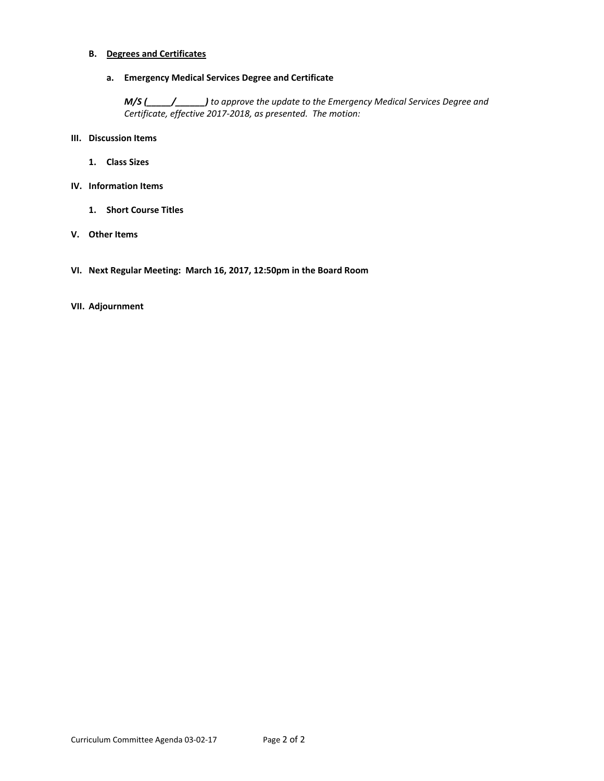## **B. Degrees and Certificates**

 **a. Emergency Medical Services Degree and Certificate**

 *M/S (\_\_\_\_\_/\_\_\_\_\_\_) to approve the update to the Emergency Medical Services Degree and Certificate, effective 2017‐2018, as presented. The motion:*

- **III. Discussion Items**
	- **1. Class Sizes**
- **IV. Information Items** 
	- **1. Short Course Titles**
- **V. Other Items**
- **VI. Next Regular Meeting: March 16, 2017, 12:50pm in the Board Room**

#### **VII. Adjournment**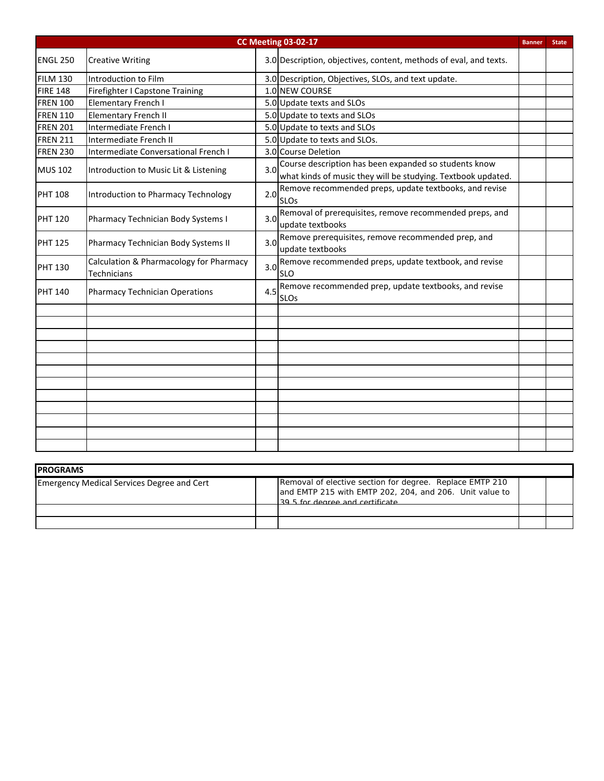| <b>CC Meeting 03-02-17</b> |                                                               |     |                                                                                                                           |  |  |  |
|----------------------------|---------------------------------------------------------------|-----|---------------------------------------------------------------------------------------------------------------------------|--|--|--|
| ENGL 250                   | <b>Creative Writing</b>                                       |     | 3.0 Description, objectives, content, methods of eval, and texts.                                                         |  |  |  |
| <b>FILM 130</b>            | Introduction to Film                                          |     | 3.0 Description, Objectives, SLOs, and text update.                                                                       |  |  |  |
| <b>FIRE 148</b>            | Firefighter I Capstone Training                               |     | 1.0 NEW COURSE                                                                                                            |  |  |  |
| <b>FREN 100</b>            | Elementary French I                                           |     | 5.0 Update texts and SLOs                                                                                                 |  |  |  |
| <b>FREN 110</b>            | <b>Elementary French II</b>                                   |     | 5.0 Update to texts and SLOs                                                                                              |  |  |  |
| <b>FREN 201</b>            | Intermediate French I                                         |     | 5.0 Update to texts and SLOs                                                                                              |  |  |  |
| <b>FREN 211</b>            | Intermediate French II                                        |     | 5.0 Update to texts and SLOs.                                                                                             |  |  |  |
| <b>FREN 230</b>            | Intermediate Conversational French I                          |     | 3.0 Course Deletion                                                                                                       |  |  |  |
| <b>MUS 102</b>             | Introduction to Music Lit & Listening                         |     | 3.0 Course description has been expanded so students know<br>what kinds of music they will be studying. Textbook updated. |  |  |  |
| <b>PHT 108</b>             | Introduction to Pharmacy Technology                           | 2.0 | Remove recommended preps, update textbooks, and revise<br><b>SLOs</b>                                                     |  |  |  |
| <b>PHT 120</b>             | Pharmacy Technician Body Systems I                            |     | 3.0 Removal of prerequisites, remove recommended preps, and<br>update textbooks                                           |  |  |  |
| <b>PHT 125</b>             | Pharmacy Technician Body Systems II                           |     | 3.0 Remove prerequisites, remove recommended prep, and<br>update textbooks                                                |  |  |  |
| <b>PHT 130</b>             | Calculation & Pharmacology for Pharmacy<br><b>Technicians</b> |     | 3.0 Remove recommended preps, update textbook, and revise<br><b>SLO</b>                                                   |  |  |  |
| <b>PHT 140</b>             | <b>Pharmacy Technician Operations</b>                         | 4.5 | Remove recommended prep, update textbooks, and revise<br><b>SLOs</b>                                                      |  |  |  |
|                            |                                                               |     |                                                                                                                           |  |  |  |
|                            |                                                               |     |                                                                                                                           |  |  |  |
|                            |                                                               |     |                                                                                                                           |  |  |  |
|                            |                                                               |     |                                                                                                                           |  |  |  |
|                            |                                                               |     |                                                                                                                           |  |  |  |
|                            |                                                               |     |                                                                                                                           |  |  |  |
|                            |                                                               |     |                                                                                                                           |  |  |  |
|                            |                                                               |     |                                                                                                                           |  |  |  |
|                            |                                                               |     |                                                                                                                           |  |  |  |
|                            |                                                               |     |                                                                                                                           |  |  |  |
|                            |                                                               |     |                                                                                                                           |  |  |  |
|                            |                                                               |     |                                                                                                                           |  |  |  |

| <b>IPROGRAMS</b>                                  |  |                                                                                                                                                        |  |  |  |  |  |  |
|---------------------------------------------------|--|--------------------------------------------------------------------------------------------------------------------------------------------------------|--|--|--|--|--|--|
| <b>Emergency Medical Services Degree and Cert</b> |  | Removal of elective section for degree. Replace EMTP 210<br>and EMTP 215 with EMTP 202, 204, and 206. Unit value to<br>39.5 for degree and certificate |  |  |  |  |  |  |
|                                                   |  |                                                                                                                                                        |  |  |  |  |  |  |
|                                                   |  |                                                                                                                                                        |  |  |  |  |  |  |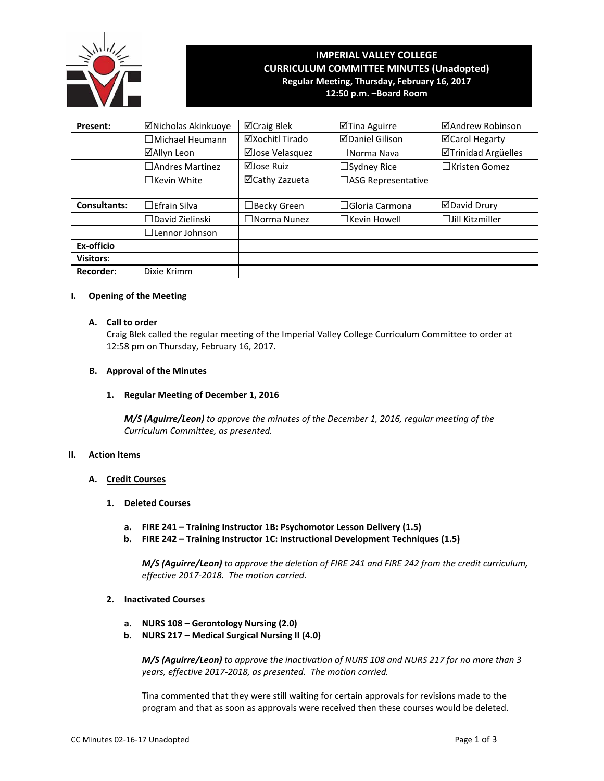

# **IMPERIAL VALLEY COLLEGE CURRICULUM COMMITTEE MINUTES (Unadopted) Regular Meeting, Thursday, February 16, 2017**

**12:50 p.m. –Board Room**

| Present:         | ⊠Nicholas Akinkuoye       | ⊠Craig Blek           | ⊠Tina Aguirre          | ⊠Andrew Robinson           |
|------------------|---------------------------|-----------------------|------------------------|----------------------------|
|                  | $\Box$ Michael Heumann    | ⊠Xochitl Tirado       | <b>ØDaniel Gilison</b> | ⊠Carol Hegarty             |
|                  | ⊠Allyn Leon               | ⊠Jose Velasquez       | $\square$ Norma Nava   | <b>ØTrinidad Argüelles</b> |
|                  | $\square$ Andres Martinez | ⊠Jose Ruiz            | $\Box$ Sydney Rice     | $\Box$ Kristen Gomez       |
|                  | $\Box$ Kevin White        | ⊠Cathy Zazueta        | □ASG Representative    |                            |
|                  |                           |                       |                        |                            |
| Consultants:     | $\Box$ Efrain Silva       | $\Box$ Becky Green    | $\Box$ Gloria Carmona  | <b>ØDavid Drury</b>        |
|                  | $\Box$ David Zielinski    | $\square$ Norma Nunez | $\Box$ Kevin Howell    | $\Box$ Jill Kitzmiller     |
|                  | $\Box$ Lennor Johnson     |                       |                        |                            |
| Ex-officio       |                           |                       |                        |                            |
| <b>Visitors:</b> |                           |                       |                        |                            |
| <b>Recorder:</b> | Dixie Krimm               |                       |                        |                            |

#### **I. Opening of the Meeting**

#### **A. Call to order**

Craig Blek called the regular meeting of the Imperial Valley College Curriculum Committee to order at 12:58 pm on Thursday, February 16, 2017.

#### **B. Approval of the Minutes**

#### **1. Regular Meeting of December 1, 2016**

*M/S (Aguirre/Leon) to approve the minutes of the December 1, 2016, regular meeting of the Curriculum Committee, as presented.*

#### **II. Action Items**

#### **A. Credit Courses**

#### **1. Deleted Courses**

- **a. FIRE 241 – Training Instructor 1B: Psychomotor Lesson Delivery (1.5)**
- **b. FIRE 242 – Training Instructor 1C: Instructional Development Techniques (1.5)**

*M/S (Aguirre/Leon) to approve the deletion of FIRE 241 and FIRE 242 from the credit curriculum, effective 2017‐2018. The motion carried.*

#### **2. Inactivated Courses**

- **a. NURS 108 – Gerontology Nursing (2.0)**
- **b. NURS 217 – Medical Surgical Nursing II (4.0)**

*M/S (Aguirre/Leon) to approve the inactivation of NURS 108 and NURS 217 for no more than 3 years, effective 2017‐2018, as presented. The motion carried.*

Tina commented that they were still waiting for certain approvals for revisions made to the program and that as soon as approvals were received then these courses would be deleted.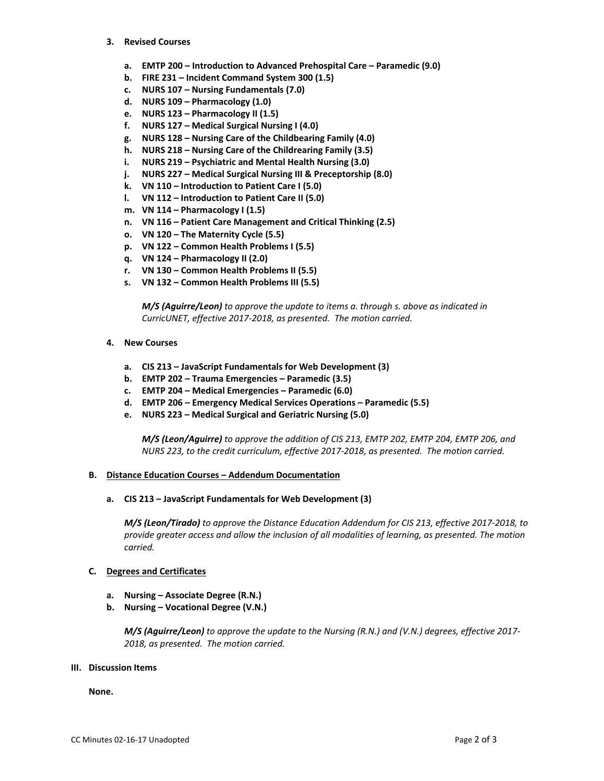- **3. Revised Courses**
	- **a. EMTP 200 – Introduction to Advanced Prehospital Care – Paramedic (9.0)**
	- **b. FIRE 231 – Incident Command System 300 (1.5)**
	- **c. NURS 107 – Nursing Fundamentals (7.0)**
	- **d. NURS 109 – Pharmacology (1.0)**
	- **e. NURS 123 – Pharmacology II (1.5)**
	- **f. NURS 127 – Medical Surgical Nursing I (4.0)**
	- **g. NURS 128 – Nursing Care of the Childbearing Family (4.0)**
	- **h. NURS 218 – Nursing Care of the Childrearing Family (3.5)**
	- **i. NURS 219 – Psychiatric and Mental Health Nursing (3.0)**
	- **j. NURS 227 – Medical Surgical Nursing III & Preceptorship (8.0)**
	- **k. VN 110 – Introduction to Patient Care I (5.0)**
	- **l. VN 112 – Introduction to Patient Care II (5.0)**
	- **m. VN 114 – Pharmacology I (1.5)**
	- **n. VN 116 – Patient Care Management and Critical Thinking (2.5)**
	- **o. VN 120 – The Maternity Cycle (5.5)**
	- **p. VN 122 – Common Health Problems I (5.5)**
	- **q. VN 124 – Pharmacology II (2.0)**
	- **r. VN 130 – Common Health Problems II (5.5)**
	- **s. VN 132 – Common Health Problems III (5.5)**

 *M/S (Aguirre/Leon) to approve the update to items a. through s. above as indicated in CurricUNET, effective 2017‐2018, as presented. The motion carried.*

- **4. New Courses**
	- **a. CIS 213 – JavaScript Fundamentals for Web Development (3)**
	- **b. EMTP 202 – Trauma Emergencies – Paramedic (3.5)**
	- **c. EMTP 204 – Medical Emergencies – Paramedic (6.0)**
	- **d. EMTP 206 – Emergency Medical Services Operations – Paramedic (5.5)**
	- **e. NURS 223 – Medical Surgical and Geriatric Nursing (5.0)**

 *M/S (Leon/Aguirre) to approve the addition of CIS 213, EMTP 202, EMTP 204, EMTP 206, and NURS 223, to the credit curriculum, effective 2017‐2018, as presented. The motion carried.*

#### **B. Distance Education Courses – Addendum Documentation**

#### **a. CIS 213 – JavaScript Fundamentals for Web Development (3)**

*M/S (Leon/Tirado) to approve the Distance Education Addendum for CIS 213, effective 2017‐2018, to provide greater access and allow the inclusion of all modalities of learning, as presented. The motion carried.*

#### **C. Degrees and Certificates**

- **a. Nursing – Associate Degree (R.N.)**
- **b. Nursing – Vocational Degree (V.N.)**

 *M/S (Aguirre/Leon) to approve the update to the Nursing (R.N.) and (V.N.) degrees, effective 2017‐ 2018, as presented. The motion carried.*

### **III. Discussion Items**

**None.**